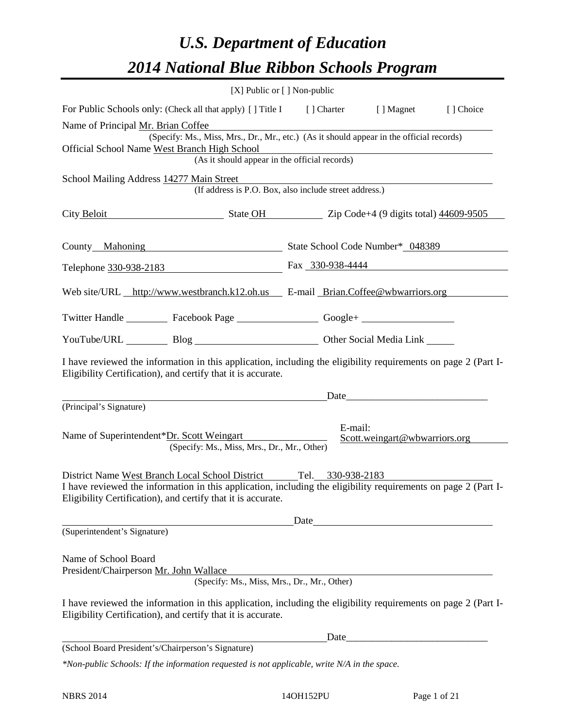# *U.S. Department of Education 2014 National Blue Ribbon Schools Program*

|                                                                                                                                                                                | $[X]$ Public or $[ \ ]$ Non-public                                                       |      |         |                               |           |
|--------------------------------------------------------------------------------------------------------------------------------------------------------------------------------|------------------------------------------------------------------------------------------|------|---------|-------------------------------|-----------|
| For Public Schools only: (Check all that apply) [] Title I [] Charter                                                                                                          |                                                                                          |      |         | [ ] Magnet                    | [] Choice |
| Name of Principal Mr. Brian Coffee                                                                                                                                             |                                                                                          |      |         |                               |           |
| Official School Name West Branch High School                                                                                                                                   | (Specify: Ms., Miss, Mrs., Dr., Mr., etc.) (As it should appear in the official records) |      |         |                               |           |
|                                                                                                                                                                                | (As it should appear in the official records)                                            |      |         |                               |           |
| School Mailing Address 14277 Main Street                                                                                                                                       |                                                                                          |      |         |                               |           |
|                                                                                                                                                                                | (If address is P.O. Box, also include street address.)                                   |      |         |                               |           |
| City Beloit                                                                                                                                                                    | State OH Zip Code+4 (9 digits total) 44609-9505                                          |      |         |                               |           |
| County Mahoning                                                                                                                                                                | State School Code Number* 048389                                                         |      |         |                               |           |
| Telephone 330-938-2183 Fax 330-938-4444                                                                                                                                        |                                                                                          |      |         |                               |           |
| Web site/URL http://www.westbranch.k12.oh.us E-mail Brian.Coffee@wbwarriors.org                                                                                                |                                                                                          |      |         |                               |           |
| Twitter Handle ___________ Facebook Page ___________________ Google+ ___________                                                                                               |                                                                                          |      |         |                               |           |
| YouTube/URL Blog Blog Discount Cher Social Media Link                                                                                                                          |                                                                                          |      |         |                               |           |
| I have reviewed the information in this application, including the eligibility requirements on page 2 (Part I-<br>Eligibility Certification), and certify that it is accurate. |                                                                                          |      |         |                               |           |
|                                                                                                                                                                                |                                                                                          |      |         |                               |           |
| (Principal's Signature)                                                                                                                                                        |                                                                                          |      |         |                               |           |
| Name of Superintendent*Dr. Scott Weingart                                                                                                                                      | (Specify: Ms., Miss, Mrs., Dr., Mr., Other)                                              |      | E-mail: | Scott.weingart@wbwarriors.org |           |
| District Name West Branch Local School District Tel. 330-938-2183                                                                                                              |                                                                                          |      |         |                               |           |
| I have reviewed the information in this application, including the eligibility requirements on page 2 (Part I-<br>Eligibility Certification), and certify that it is accurate. |                                                                                          |      |         |                               |           |
|                                                                                                                                                                                |                                                                                          | Date |         |                               |           |
| (Superintendent's Signature)                                                                                                                                                   |                                                                                          |      |         |                               |           |
| Name of School Board<br>President/Chairperson Mr. John Wallace                                                                                                                 | (Specify: Ms., Miss, Mrs., Dr., Mr., Other)                                              |      |         |                               |           |
| I have reviewed the information in this application, including the eligibility requirements on page 2 (Part I-<br>Eligibility Certification), and certify that it is accurate. |                                                                                          |      |         |                               |           |
|                                                                                                                                                                                |                                                                                          |      |         |                               |           |
| (School Board President's/Chairperson's Signature)                                                                                                                             |                                                                                          |      |         |                               |           |
| *Non-public Schools: If the information requested is not applicable, write N/A in the space.                                                                                   |                                                                                          |      |         |                               |           |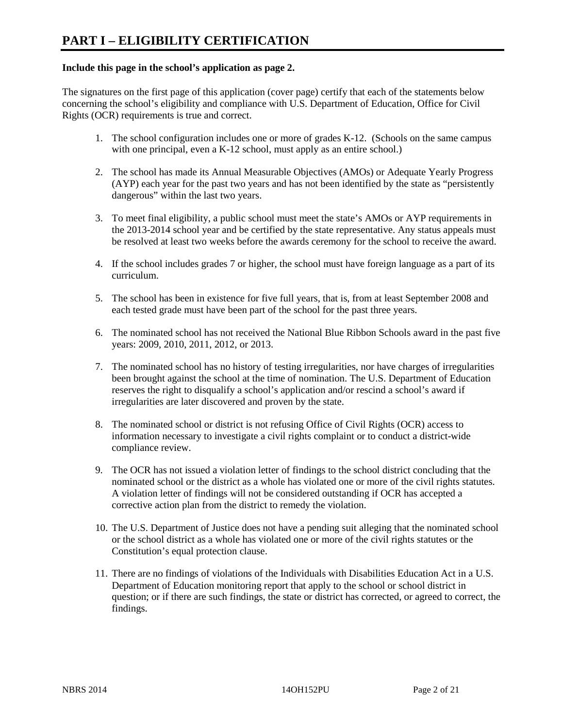#### **Include this page in the school's application as page 2.**

The signatures on the first page of this application (cover page) certify that each of the statements below concerning the school's eligibility and compliance with U.S. Department of Education, Office for Civil Rights (OCR) requirements is true and correct.

- 1. The school configuration includes one or more of grades K-12. (Schools on the same campus with one principal, even a K-12 school, must apply as an entire school.)
- 2. The school has made its Annual Measurable Objectives (AMOs) or Adequate Yearly Progress (AYP) each year for the past two years and has not been identified by the state as "persistently dangerous" within the last two years.
- 3. To meet final eligibility, a public school must meet the state's AMOs or AYP requirements in the 2013-2014 school year and be certified by the state representative. Any status appeals must be resolved at least two weeks before the awards ceremony for the school to receive the award.
- 4. If the school includes grades 7 or higher, the school must have foreign language as a part of its curriculum.
- 5. The school has been in existence for five full years, that is, from at least September 2008 and each tested grade must have been part of the school for the past three years.
- 6. The nominated school has not received the National Blue Ribbon Schools award in the past five years: 2009, 2010, 2011, 2012, or 2013.
- 7. The nominated school has no history of testing irregularities, nor have charges of irregularities been brought against the school at the time of nomination. The U.S. Department of Education reserves the right to disqualify a school's application and/or rescind a school's award if irregularities are later discovered and proven by the state.
- 8. The nominated school or district is not refusing Office of Civil Rights (OCR) access to information necessary to investigate a civil rights complaint or to conduct a district-wide compliance review.
- 9. The OCR has not issued a violation letter of findings to the school district concluding that the nominated school or the district as a whole has violated one or more of the civil rights statutes. A violation letter of findings will not be considered outstanding if OCR has accepted a corrective action plan from the district to remedy the violation.
- 10. The U.S. Department of Justice does not have a pending suit alleging that the nominated school or the school district as a whole has violated one or more of the civil rights statutes or the Constitution's equal protection clause.
- 11. There are no findings of violations of the Individuals with Disabilities Education Act in a U.S. Department of Education monitoring report that apply to the school or school district in question; or if there are such findings, the state or district has corrected, or agreed to correct, the findings.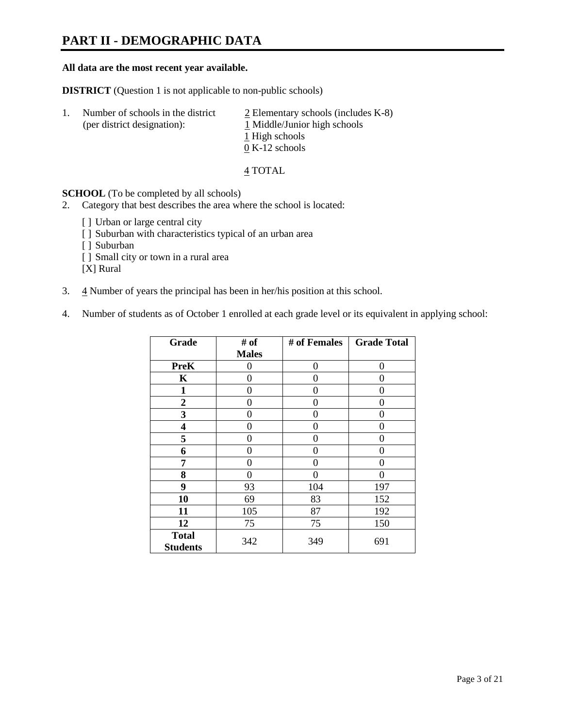# **PART II - DEMOGRAPHIC DATA**

#### **All data are the most recent year available.**

**DISTRICT** (Question 1 is not applicable to non-public schools)

| -1. | Number of schools in the district<br>(per district designation): | $\geq$ Elementary schools (includes K-8)<br>1 Middle/Junior high schools<br>1 High schools |
|-----|------------------------------------------------------------------|--------------------------------------------------------------------------------------------|
|     |                                                                  | $0 K-12$ schools                                                                           |

4 TOTAL

**SCHOOL** (To be completed by all schools)

- 2. Category that best describes the area where the school is located:
	- [] Urban or large central city
	- [ ] Suburban with characteristics typical of an urban area
	- [ ] Suburban
	- [ ] Small city or town in a rural area

[X] Rural

- 3.  $\frac{4}{3}$  Number of years the principal has been in her/his position at this school.
- 4. Number of students as of October 1 enrolled at each grade level or its equivalent in applying school:

| Grade                           | # of         | # of Females | <b>Grade Total</b> |
|---------------------------------|--------------|--------------|--------------------|
|                                 | <b>Males</b> |              |                    |
| <b>PreK</b>                     | 0            | 0            | 0                  |
| K                               | 0            | 0            | 0                  |
| $\mathbf{1}$                    | 0            | 0            | 0                  |
| $\mathbf{2}$                    | 0            | ∩            | 0                  |
| 3                               | 0            | 0            | 0                  |
| 4                               | 0            | 0            | 0                  |
| 5                               | 0            | 0            | 0                  |
| 6                               | 0            | 0            | 0                  |
| 7                               | 0            | 0            | 0                  |
| 8                               | $\theta$     | 0            | 0                  |
| 9                               | 93           | 104          | 197                |
| 10                              | 69           | 83           | 152                |
| 11                              | 105          | 87           | 192                |
| 12                              | 75           | 75           | 150                |
| <b>Total</b><br><b>Students</b> | 342          | 349          | 691                |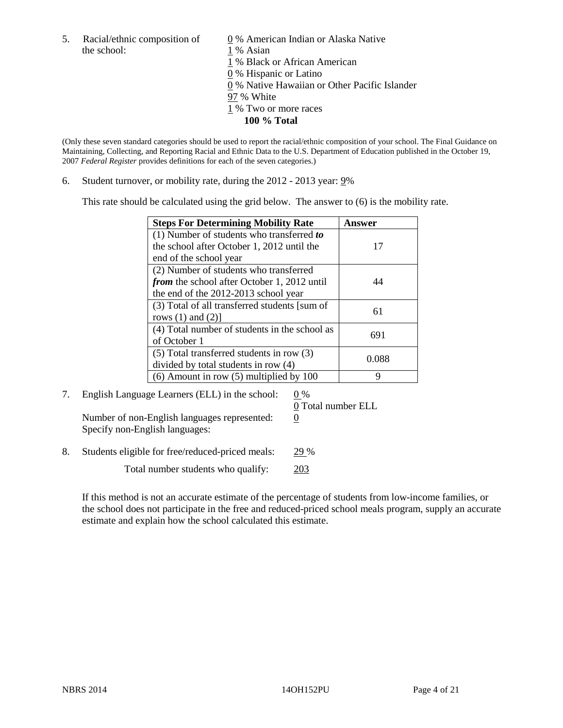5. Racial/ethnic composition of  $\qquad \qquad \underline{0}$  % American Indian or Alaska Native the school: 1 % Asian

 % Black or African American % Hispanic or Latino % Native Hawaiian or Other Pacific Islander 97 % White % Two or more races **100 % Total**

(Only these seven standard categories should be used to report the racial/ethnic composition of your school. The Final Guidance on Maintaining, Collecting, and Reporting Racial and Ethnic Data to the U.S. Department of Education published in the October 19, 2007 *Federal Register* provides definitions for each of the seven categories.)

6. Student turnover, or mobility rate, during the 2012 - 2013 year: 9%

This rate should be calculated using the grid below. The answer to (6) is the mobility rate.

| <b>Steps For Determining Mobility Rate</b>    | Answer |
|-----------------------------------------------|--------|
| (1) Number of students who transferred to     |        |
| the school after October 1, 2012 until the    | 17     |
| end of the school year                        |        |
| (2) Number of students who transferred        |        |
| from the school after October 1, 2012 until   |        |
| the end of the 2012-2013 school year          |        |
| (3) Total of all transferred students [sum of | 61     |
| rows $(1)$ and $(2)$ ]                        |        |
| (4) Total number of students in the school as | 691    |
| of October 1                                  |        |
| $(5)$ Total transferred students in row $(3)$ | 0.088  |
| divided by total students in row (4)          |        |
| $(6)$ Amount in row $(5)$ multiplied by 100   | Q      |

7. English Language Learners (ELL) in the school:  $0\%$ Number of non-English languages represented:  $0$ Specify non-English languages:

0 Total number ELL

8. Students eligible for free/reduced-priced meals: 29 %

Total number students who qualify: 203

If this method is not an accurate estimate of the percentage of students from low-income families, or the school does not participate in the free and reduced-priced school meals program, supply an accurate estimate and explain how the school calculated this estimate.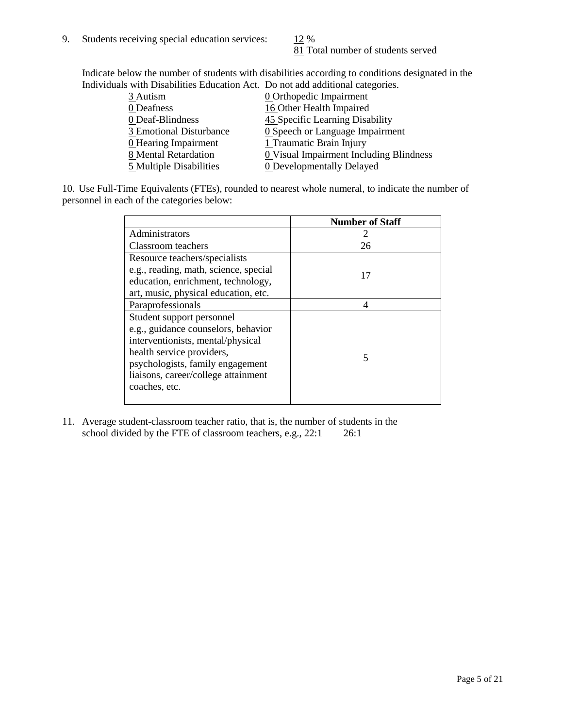81 Total number of students served

Indicate below the number of students with disabilities according to conditions designated in the Individuals with Disabilities Education Act. Do not add additional categories.

|                         | with Disabilities Equediton Fiet. Do not aga agaitional eatogolies. |
|-------------------------|---------------------------------------------------------------------|
| $3$ Autism              | <b>0</b> Orthopedic Impairment                                      |
| 0 Deafness              | 16 Other Health Impaired                                            |
| 0 Deaf-Blindness        | 45 Specific Learning Disability                                     |
| 3 Emotional Disturbance | 0 Speech or Language Impairment                                     |
| 0 Hearing Impairment    | 1 Traumatic Brain Injury                                            |
| 8 Mental Retardation    | 0 Visual Impairment Including Blindness                             |
| 5 Multiple Disabilities | <b>0</b> Developmentally Delayed                                    |
|                         |                                                                     |

10. Use Full-Time Equivalents (FTEs), rounded to nearest whole numeral, to indicate the number of personnel in each of the categories below:

|                                       | <b>Number of Staff</b> |
|---------------------------------------|------------------------|
| Administrators                        |                        |
| Classroom teachers                    | 26                     |
| Resource teachers/specialists         |                        |
| e.g., reading, math, science, special | 17                     |
| education, enrichment, technology,    |                        |
| art, music, physical education, etc.  |                        |
| Paraprofessionals                     | 4                      |
| Student support personnel             |                        |
| e.g., guidance counselors, behavior   |                        |
| interventionists, mental/physical     |                        |
| health service providers,             | 5                      |
| psychologists, family engagement      |                        |
| liaisons, career/college attainment   |                        |
| coaches, etc.                         |                        |
|                                       |                        |

11. Average student-classroom teacher ratio, that is, the number of students in the school divided by the FTE of classroom teachers, e.g.,  $22:1$   $26:1$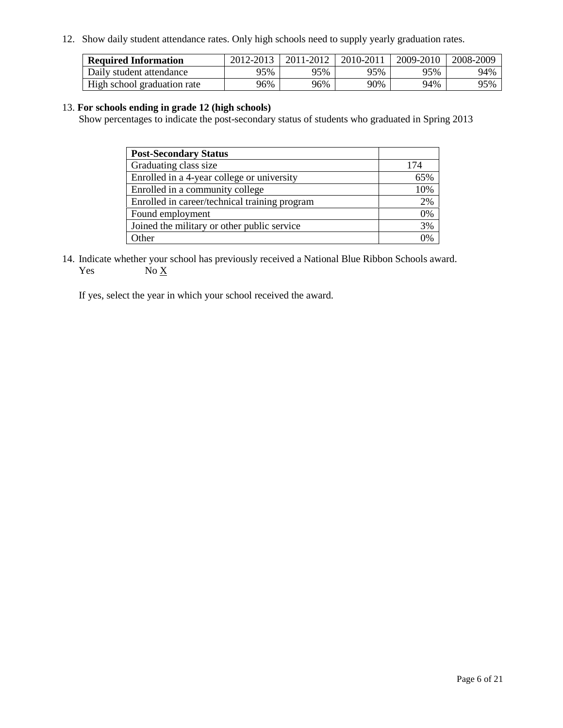12. Show daily student attendance rates. Only high schools need to supply yearly graduation rates.

| <b>Required Information</b> | 2012-2013 | 2011-2012 | 2010-2011 | 2009-2010 | 2008-2009 |
|-----------------------------|-----------|-----------|-----------|-----------|-----------|
| Daily student attendance    | 95%       | 95%       | 95%       | 95%       | 94%       |
| High school graduation rate | 96%       | 96%       | 90%       | 94%       | 95%       |

#### 13. **For schools ending in grade 12 (high schools)**

Show percentages to indicate the post-secondary status of students who graduated in Spring 2013

| <b>Post-Secondary Status</b>                  |     |
|-----------------------------------------------|-----|
| Graduating class size                         | 174 |
| Enrolled in a 4-year college or university    | 65% |
| Enrolled in a community college               | 10% |
| Enrolled in career/technical training program | 2%  |
| Found employment                              | 0%  |
| Joined the military or other public service   | 3%  |
| . Other                                       | 0%  |

14. Indicate whether your school has previously received a National Blue Ribbon Schools award. Yes  $No X$ 

If yes, select the year in which your school received the award.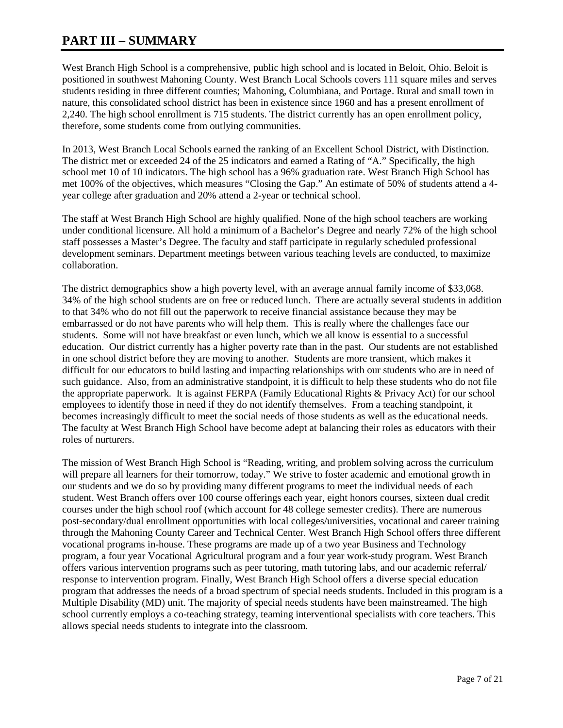## **PART III – SUMMARY**

West Branch High School is a comprehensive, public high school and is located in Beloit, Ohio. Beloit is positioned in southwest Mahoning County. West Branch Local Schools covers 111 square miles and serves students residing in three different counties; Mahoning, Columbiana, and Portage. Rural and small town in nature, this consolidated school district has been in existence since 1960 and has a present enrollment of 2,240. The high school enrollment is 715 students. The district currently has an open enrollment policy, therefore, some students come from outlying communities.

In 2013, West Branch Local Schools earned the ranking of an Excellent School District, with Distinction. The district met or exceeded 24 of the 25 indicators and earned a Rating of "A." Specifically, the high school met 10 of 10 indicators. The high school has a 96% graduation rate. West Branch High School has met 100% of the objectives, which measures "Closing the Gap." An estimate of 50% of students attend a 4 year college after graduation and 20% attend a 2-year or technical school.

The staff at West Branch High School are highly qualified. None of the high school teachers are working under conditional licensure. All hold a minimum of a Bachelor's Degree and nearly 72% of the high school staff possesses a Master's Degree. The faculty and staff participate in regularly scheduled professional development seminars. Department meetings between various teaching levels are conducted, to maximize collaboration.

The district demographics show a high poverty level, with an average annual family income of \$33,068. 34% of the high school students are on free or reduced lunch. There are actually several students in addition to that 34% who do not fill out the paperwork to receive financial assistance because they may be embarrassed or do not have parents who will help them. This is really where the challenges face our students. Some will not have breakfast or even lunch, which we all know is essential to a successful education. Our district currently has a higher poverty rate than in the past. Our students are not established in one school district before they are moving to another. Students are more transient, which makes it difficult for our educators to build lasting and impacting relationships with our students who are in need of such guidance. Also, from an administrative standpoint, it is difficult to help these students who do not file the appropriate paperwork. It is against FERPA (Family Educational Rights & Privacy Act) for our school employees to identify those in need if they do not identify themselves. From a teaching standpoint, it becomes increasingly difficult to meet the social needs of those students as well as the educational needs. The faculty at West Branch High School have become adept at balancing their roles as educators with their roles of nurturers.

The mission of West Branch High School is "Reading, writing, and problem solving across the curriculum will prepare all learners for their tomorrow, today." We strive to foster academic and emotional growth in our students and we do so by providing many different programs to meet the individual needs of each student. West Branch offers over 100 course offerings each year, eight honors courses, sixteen dual credit courses under the high school roof (which account for 48 college semester credits). There are numerous post-secondary/dual enrollment opportunities with local colleges/universities, vocational and career training through the Mahoning County Career and Technical Center. West Branch High School offers three different vocational programs in-house. These programs are made up of a two year Business and Technology program, a four year Vocational Agricultural program and a four year work-study program. West Branch offers various intervention programs such as peer tutoring, math tutoring labs, and our academic referral/ response to intervention program. Finally, West Branch High School offers a diverse special education program that addresses the needs of a broad spectrum of special needs students. Included in this program is a Multiple Disability (MD) unit. The majority of special needs students have been mainstreamed. The high school currently employs a co-teaching strategy, teaming interventional specialists with core teachers. This allows special needs students to integrate into the classroom.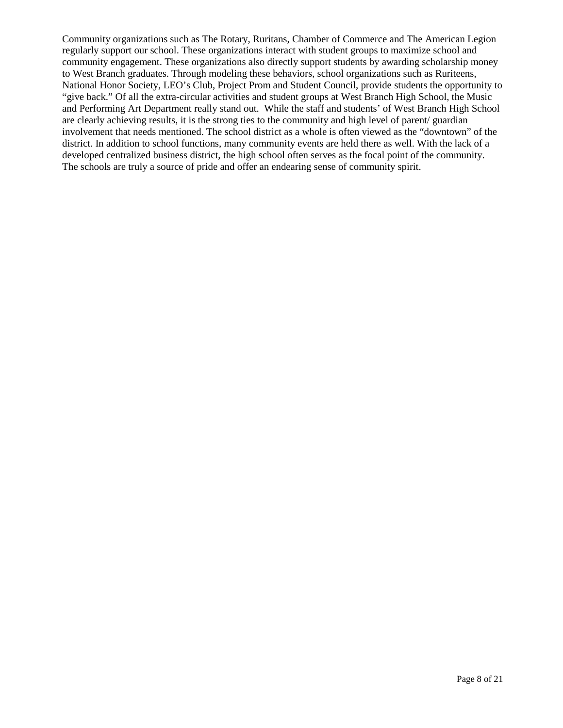Community organizations such as The Rotary, Ruritans, Chamber of Commerce and The American Legion regularly support our school. These organizations interact with student groups to maximize school and community engagement. These organizations also directly support students by awarding scholarship money to West Branch graduates. Through modeling these behaviors, school organizations such as Ruriteens, National Honor Society, LEO's Club, Project Prom and Student Council, provide students the opportunity to "give back." Of all the extra-circular activities and student groups at West Branch High School, the Music and Performing Art Department really stand out. While the staff and students' of West Branch High School are clearly achieving results, it is the strong ties to the community and high level of parent/ guardian involvement that needs mentioned. The school district as a whole is often viewed as the "downtown" of the district. In addition to school functions, many community events are held there as well. With the lack of a developed centralized business district, the high school often serves as the focal point of the community. The schools are truly a source of pride and offer an endearing sense of community spirit.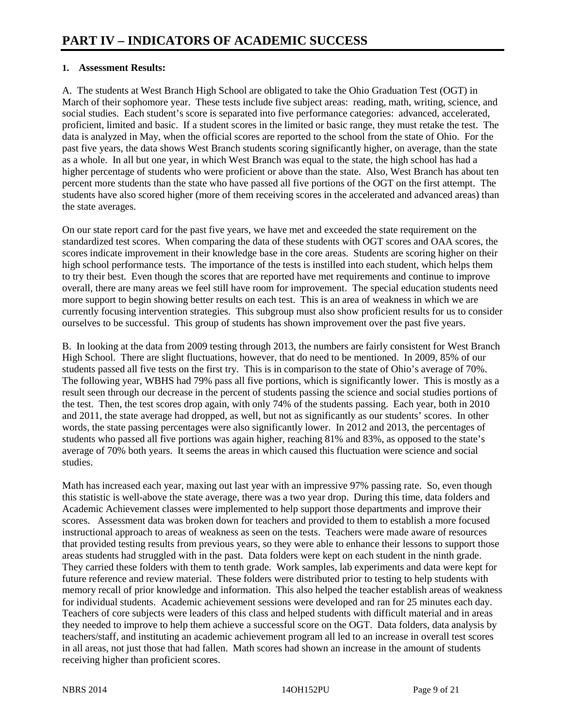#### **1. Assessment Results:**

A. The students at West Branch High School are obligated to take the Ohio Graduation Test (OGT) in March of their sophomore year. These tests include five subject areas: reading, math, writing, science, and social studies. Each student's score is separated into five performance categories: advanced, accelerated, proficient, limited and basic. If a student scores in the limited or basic range, they must retake the test. The data is analyzed in May, when the official scores are reported to the school from the state of Ohio. For the past five years, the data shows West Branch students scoring significantly higher, on average, than the state as a whole. In all but one year, in which West Branch was equal to the state, the high school has had a higher percentage of students who were proficient or above than the state. Also, West Branch has about ten percent more students than the state who have passed all five portions of the OGT on the first attempt. The students have also scored higher (more of them receiving scores in the accelerated and advanced areas) than the state averages.

On our state report card for the past five years, we have met and exceeded the state requirement on the standardized test scores. When comparing the data of these students with OGT scores and OAA scores, the scores indicate improvement in their knowledge base in the core areas. Students are scoring higher on their high school performance tests. The importance of the tests is instilled into each student, which helps them to try their best. Even though the scores that are reported have met requirements and continue to improve overall, there are many areas we feel still have room for improvement. The special education students need more support to begin showing better results on each test. This is an area of weakness in which we are currently focusing intervention strategies. This subgroup must also show proficient results for us to consider ourselves to be successful. This group of students has shown improvement over the past five years.

B. In looking at the data from 2009 testing through 2013, the numbers are fairly consistent for West Branch High School. There are slight fluctuations, however, that do need to be mentioned. In 2009, 85% of our students passed all five tests on the first try. This is in comparison to the state of Ohio's average of 70%. The following year, WBHS had 79% pass all five portions, which is significantly lower. This is mostly as a result seen through our decrease in the percent of students passing the science and social studies portions of the test. Then, the test scores drop again, with only 74% of the students passing. Each year, both in 2010 and 2011, the state average had dropped, as well, but not as significantly as our students' scores. In other words, the state passing percentages were also significantly lower. In 2012 and 2013, the percentages of students who passed all five portions was again higher, reaching 81% and 83%, as opposed to the state's average of 70% both years. It seems the areas in which caused this fluctuation were science and social studies.

Math has increased each year, maxing out last year with an impressive 97% passing rate. So, even though this statistic is well-above the state average, there was a two year drop. During this time, data folders and Academic Achievement classes were implemented to help support those departments and improve their scores. Assessment data was broken down for teachers and provided to them to establish a more focused instructional approach to areas of weakness as seen on the tests. Teachers were made aware of resources that provided testing results from previous years, so they were able to enhance their lessons to support those areas students had struggled with in the past. Data folders were kept on each student in the ninth grade. They carried these folders with them to tenth grade. Work samples, lab experiments and data were kept for future reference and review material. These folders were distributed prior to testing to help students with memory recall of prior knowledge and information. This also helped the teacher establish areas of weakness for individual students. Academic achievement sessions were developed and ran for 25 minutes each day. Teachers of core subjects were leaders of this class and helped students with difficult material and in areas they needed to improve to help them achieve a successful score on the OGT. Data folders, data analysis by teachers/staff, and instituting an academic achievement program all led to an increase in overall test scores in all areas, not just those that had fallen. Math scores had shown an increase in the amount of students receiving higher than proficient scores.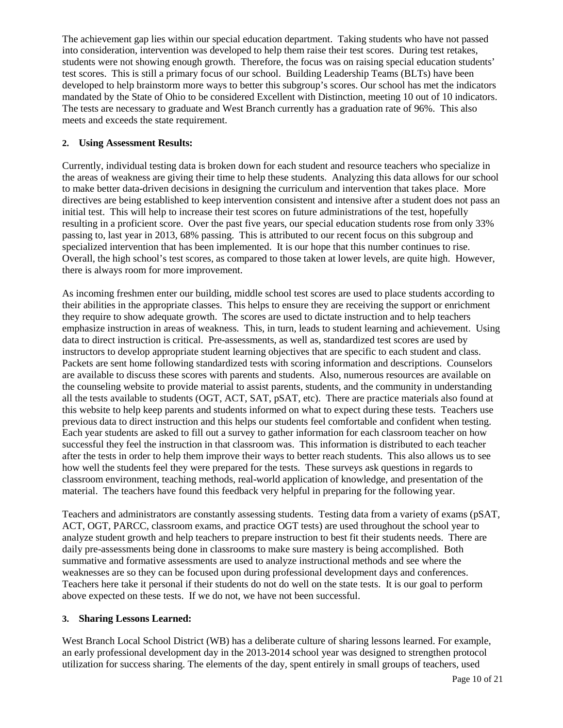The achievement gap lies within our special education department. Taking students who have not passed into consideration, intervention was developed to help them raise their test scores. During test retakes, students were not showing enough growth. Therefore, the focus was on raising special education students' test scores. This is still a primary focus of our school. Building Leadership Teams (BLTs) have been developed to help brainstorm more ways to better this subgroup's scores. Our school has met the indicators mandated by the State of Ohio to be considered Excellent with Distinction, meeting 10 out of 10 indicators. The tests are necessary to graduate and West Branch currently has a graduation rate of 96%. This also meets and exceeds the state requirement.

#### **2. Using Assessment Results:**

Currently, individual testing data is broken down for each student and resource teachers who specialize in the areas of weakness are giving their time to help these students. Analyzing this data allows for our school to make better data-driven decisions in designing the curriculum and intervention that takes place. More directives are being established to keep intervention consistent and intensive after a student does not pass an initial test. This will help to increase their test scores on future administrations of the test, hopefully resulting in a proficient score. Over the past five years, our special education students rose from only 33% passing to, last year in 2013, 68% passing. This is attributed to our recent focus on this subgroup and specialized intervention that has been implemented. It is our hope that this number continues to rise. Overall, the high school's test scores, as compared to those taken at lower levels, are quite high. However, there is always room for more improvement.

As incoming freshmen enter our building, middle school test scores are used to place students according to their abilities in the appropriate classes. This helps to ensure they are receiving the support or enrichment they require to show adequate growth. The scores are used to dictate instruction and to help teachers emphasize instruction in areas of weakness. This, in turn, leads to student learning and achievement. Using data to direct instruction is critical. Pre-assessments, as well as, standardized test scores are used by instructors to develop appropriate student learning objectives that are specific to each student and class. Packets are sent home following standardized tests with scoring information and descriptions. Counselors are available to discuss these scores with parents and students. Also, numerous resources are available on the counseling website to provide material to assist parents, students, and the community in understanding all the tests available to students (OGT, ACT, SAT, pSAT, etc). There are practice materials also found at this website to help keep parents and students informed on what to expect during these tests. Teachers use previous data to direct instruction and this helps our students feel comfortable and confident when testing. Each year students are asked to fill out a survey to gather information for each classroom teacher on how successful they feel the instruction in that classroom was. This information is distributed to each teacher after the tests in order to help them improve their ways to better reach students. This also allows us to see how well the students feel they were prepared for the tests. These surveys ask questions in regards to classroom environment, teaching methods, real-world application of knowledge, and presentation of the material. The teachers have found this feedback very helpful in preparing for the following year.

Teachers and administrators are constantly assessing students. Testing data from a variety of exams (pSAT, ACT, OGT, PARCC, classroom exams, and practice OGT tests) are used throughout the school year to analyze student growth and help teachers to prepare instruction to best fit their students needs. There are daily pre-assessments being done in classrooms to make sure mastery is being accomplished. Both summative and formative assessments are used to analyze instructional methods and see where the weaknesses are so they can be focused upon during professional development days and conferences. Teachers here take it personal if their students do not do well on the state tests. It is our goal to perform above expected on these tests. If we do not, we have not been successful.

#### **3. Sharing Lessons Learned:**

West Branch Local School District (WB) has a deliberate culture of sharing lessons learned. For example, an early professional development day in the 2013-2014 school year was designed to strengthen protocol utilization for success sharing. The elements of the day, spent entirely in small groups of teachers, used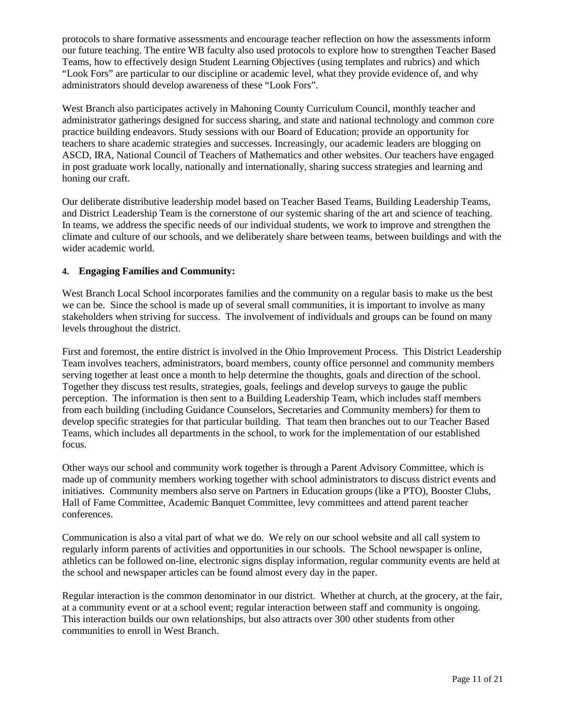protocols to share formative assessments and encourage teacher reflection on how the assessments inform our future teaching. The entire WB faculty also used protocols to explore how to strengthen Teacher Based Teams, how to effectively design Student Learning Objectives (using templates and rubrics) and which "Look Fors" are particular to our discipline or academic level, what they provide evidence of, and why administrators should develop awareness of these "Look Fors".

West Branch also participates actively in Mahoning County Curriculum Council, monthly teacher and administrator gatherings designed for success sharing, and state and national technology and common core practice building endeavors. Study sessions with our Board of Education; provide an opportunity for teachers to share academic strategies and successes. Increasingly, our academic leaders are blogging on ASCD, IRA, National Council of Teachers of Mathematics and other websites. Our teachers have engaged in post graduate work locally, nationally and internationally, sharing success strategies and learning and honing our craft.

Our deliberate distributive leadership model based on Teacher Based Teams, Building Leadership Teams, and District Leadership Team is the cornerstone of our systemic sharing of the art and science of teaching. In teams, we address the specific needs of our individual students, we work to improve and strengthen the climate and culture of our schools, and we deliberately share between teams, between buildings and with the wider academic world.

#### **4. Engaging Families and Community:**

West Branch Local School incorporates families and the community on a regular basis to make us the best we can be. Since the school is made up of several small communities, it is important to involve as many stakeholders when striving for success. The involvement of individuals and groups can be found on many levels throughout the district.

First and foremost, the entire district is involved in the Ohio Improvement Process. This District Leadership Team involves teachers, administrators, board members, county office personnel and community members serving together at least once a month to help determine the thoughts, goals and direction of the school. Together they discuss test results, strategies, goals, feelings and develop surveys to gauge the public perception. The information is then sent to a Building Leadership Team, which includes staff members from each building (including Guidance Counselors, Secretaries and Community members) for them to develop specific strategies for that particular building. That team then branches out to our Teacher Based Teams, which includes all departments in the school, to work for the implementation of our established focus.

Other ways our school and community work together is through a Parent Advisory Committee, which is made up of community members working together with school administrators to discuss district events and initiatives. Community members also serve on Partners in Education groups (like a PTO), Booster Clubs, Hall of Fame Committee, Academic Banquet Committee, levy committees and attend parent teacher conferences.

Communication is also a vital part of what we do. We rely on our school website and all call system to regularly inform parents of activities and opportunities in our schools. The School newspaper is online, athletics can be followed on-line, electronic signs display information, regular community events are held at the school and newspaper articles can be found almost every day in the paper.

Regular interaction is the common denominator in our district. Whether at church, at the grocery, at the fair, at a community event or at a school event; regular interaction between staff and community is ongoing. This interaction builds our own relationships, but also attracts over 300 other students from other communities to enroll in West Branch.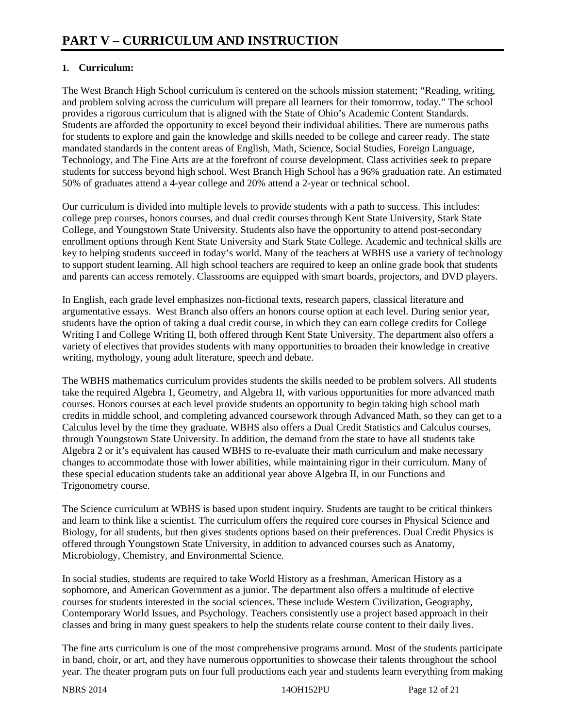### **1. Curriculum:**

The West Branch High School curriculum is centered on the schools mission statement; "Reading, writing, and problem solving across the curriculum will prepare all learners for their tomorrow, today." The school provides a rigorous curriculum that is aligned with the State of Ohio's Academic Content Standards. Students are afforded the opportunity to excel beyond their individual abilities. There are numerous paths for students to explore and gain the knowledge and skills needed to be college and career ready. The state mandated standards in the content areas of English, Math, Science, Social Studies, Foreign Language, Technology, and The Fine Arts are at the forefront of course development. Class activities seek to prepare students for success beyond high school. West Branch High School has a 96% graduation rate. An estimated 50% of graduates attend a 4-year college and 20% attend a 2-year or technical school.

Our curriculum is divided into multiple levels to provide students with a path to success. This includes: college prep courses, honors courses, and dual credit courses through Kent State University, Stark State College, and Youngstown State University. Students also have the opportunity to attend post-secondary enrollment options through Kent State University and Stark State College. Academic and technical skills are key to helping students succeed in today's world. Many of the teachers at WBHS use a variety of technology to support student learning. All high school teachers are required to keep an online grade book that students and parents can access remotely. Classrooms are equipped with smart boards, projectors, and DVD players.

In English, each grade level emphasizes non-fictional texts, research papers, classical literature and argumentative essays. West Branch also offers an honors course option at each level. During senior year, students have the option of taking a dual credit course, in which they can earn college credits for College Writing I and College Writing II, both offered through Kent State University. The department also offers a variety of electives that provides students with many opportunities to broaden their knowledge in creative writing, mythology, young adult literature, speech and debate.

The WBHS mathematics curriculum provides students the skills needed to be problem solvers. All students take the required Algebra 1, Geometry, and Algebra II, with various opportunities for more advanced math courses. Honors courses at each level provide students an opportunity to begin taking high school math credits in middle school, and completing advanced coursework through Advanced Math, so they can get to a Calculus level by the time they graduate. WBHS also offers a Dual Credit Statistics and Calculus courses, through Youngstown State University. In addition, the demand from the state to have all students take Algebra 2 or it's equivalent has caused WBHS to re-evaluate their math curriculum and make necessary changes to accommodate those with lower abilities, while maintaining rigor in their curriculum. Many of these special education students take an additional year above Algebra II, in our Functions and Trigonometry course.

The Science curriculum at WBHS is based upon student inquiry. Students are taught to be critical thinkers and learn to think like a scientist. The curriculum offers the required core courses in Physical Science and Biology, for all students, but then gives students options based on their preferences. Dual Credit Physics is offered through Youngstown State University, in addition to advanced courses such as Anatomy, Microbiology, Chemistry, and Environmental Science.

In social studies, students are required to take World History as a freshman, American History as a sophomore, and American Government as a junior. The department also offers a multitude of elective courses for students interested in the social sciences. These include Western Civilization, Geography, Contemporary World Issues, and Psychology. Teachers consistently use a project based approach in their classes and bring in many guest speakers to help the students relate course content to their daily lives.

The fine arts curriculum is one of the most comprehensive programs around. Most of the students participate in band, choir, or art, and they have numerous opportunities to showcase their talents throughout the school year. The theater program puts on four full productions each year and students learn everything from making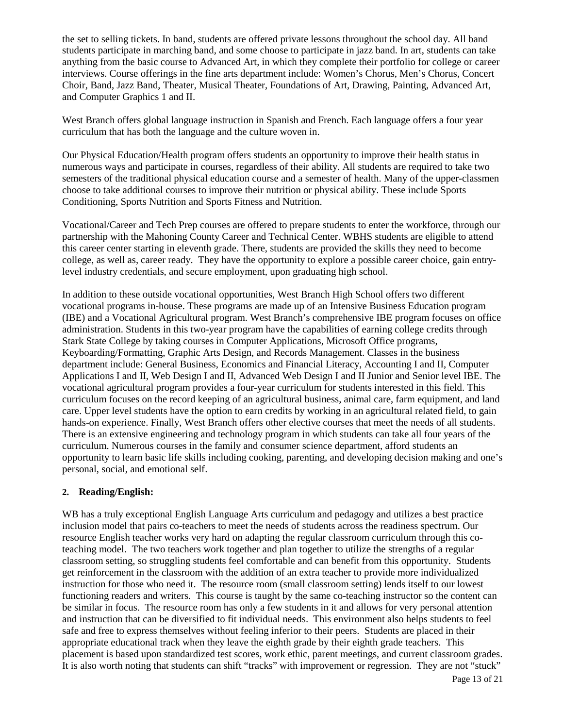the set to selling tickets. In band, students are offered private lessons throughout the school day. All band students participate in marching band, and some choose to participate in jazz band. In art, students can take anything from the basic course to Advanced Art, in which they complete their portfolio for college or career interviews. Course offerings in the fine arts department include: Women's Chorus, Men's Chorus, Concert Choir, Band, Jazz Band, Theater, Musical Theater, Foundations of Art, Drawing, Painting, Advanced Art, and Computer Graphics 1 and II.

West Branch offers global language instruction in Spanish and French. Each language offers a four year curriculum that has both the language and the culture woven in.

Our Physical Education/Health program offers students an opportunity to improve their health status in numerous ways and participate in courses, regardless of their ability. All students are required to take two semesters of the traditional physical education course and a semester of health. Many of the upper-classmen choose to take additional courses to improve their nutrition or physical ability. These include Sports Conditioning, Sports Nutrition and Sports Fitness and Nutrition.

Vocational/Career and Tech Prep courses are offered to prepare students to enter the workforce, through our partnership with the Mahoning County Career and Technical Center. WBHS students are eligible to attend this career center starting in eleventh grade. There, students are provided the skills they need to become college, as well as, career ready. They have the opportunity to explore a possible career choice, gain entrylevel industry credentials, and secure employment, upon graduating high school.

In addition to these outside vocational opportunities, West Branch High School offers two different vocational programs in-house. These programs are made up of an Intensive Business Education program (IBE) and a Vocational Agricultural program. West Branch's comprehensive IBE program focuses on office administration. Students in this two-year program have the capabilities of earning college credits through Stark State College by taking courses in Computer Applications, Microsoft Office programs, Keyboarding/Formatting, Graphic Arts Design, and Records Management. Classes in the business department include: General Business, Economics and Financial Literacy, Accounting I and II, Computer Applications I and II, Web Design I and II, Advanced Web Design I and II Junior and Senior level IBE. The vocational agricultural program provides a four-year curriculum for students interested in this field. This curriculum focuses on the record keeping of an agricultural business, animal care, farm equipment, and land care. Upper level students have the option to earn credits by working in an agricultural related field, to gain hands-on experience. Finally, West Branch offers other elective courses that meet the needs of all students. There is an extensive engineering and technology program in which students can take all four years of the curriculum. Numerous courses in the family and consumer science department, afford students an opportunity to learn basic life skills including cooking, parenting, and developing decision making and one's personal, social, and emotional self.

#### **2. Reading/English:**

WB has a truly exceptional English Language Arts curriculum and pedagogy and utilizes a best practice inclusion model that pairs co-teachers to meet the needs of students across the readiness spectrum. Our resource English teacher works very hard on adapting the regular classroom curriculum through this coteaching model. The two teachers work together and plan together to utilize the strengths of a regular classroom setting, so struggling students feel comfortable and can benefit from this opportunity. Students get reinforcement in the classroom with the addition of an extra teacher to provide more individualized instruction for those who need it. The resource room (small classroom setting) lends itself to our lowest functioning readers and writers. This course is taught by the same co-teaching instructor so the content can be similar in focus. The resource room has only a few students in it and allows for very personal attention and instruction that can be diversified to fit individual needs. This environment also helps students to feel safe and free to express themselves without feeling inferior to their peers. Students are placed in their appropriate educational track when they leave the eighth grade by their eighth grade teachers. This placement is based upon standardized test scores, work ethic, parent meetings, and current classroom grades. It is also worth noting that students can shift "tracks" with improvement or regression. They are not "stuck"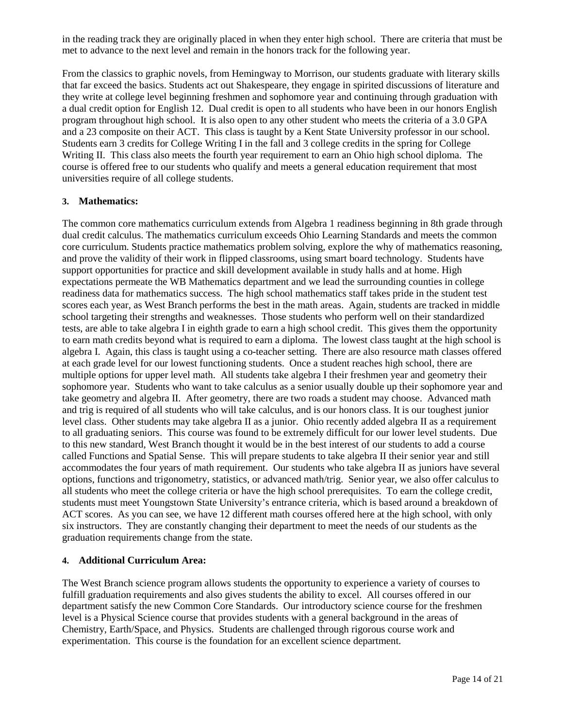in the reading track they are originally placed in when they enter high school. There are criteria that must be met to advance to the next level and remain in the honors track for the following year.

From the classics to graphic novels, from Hemingway to Morrison, our students graduate with literary skills that far exceed the basics. Students act out Shakespeare, they engage in spirited discussions of literature and they write at college level beginning freshmen and sophomore year and continuing through graduation with a dual credit option for English 12. Dual credit is open to all students who have been in our honors English program throughout high school. It is also open to any other student who meets the criteria of a 3.0 GPA and a 23 composite on their ACT. This class is taught by a Kent State University professor in our school. Students earn 3 credits for College Writing I in the fall and 3 college credits in the spring for College Writing II. This class also meets the fourth year requirement to earn an Ohio high school diploma. The course is offered free to our students who qualify and meets a general education requirement that most universities require of all college students.

#### **3. Mathematics:**

The common core mathematics curriculum extends from Algebra 1 readiness beginning in 8th grade through dual credit calculus. The mathematics curriculum exceeds Ohio Learning Standards and meets the common core curriculum. Students practice mathematics problem solving, explore the why of mathematics reasoning, and prove the validity of their work in flipped classrooms, using smart board technology. Students have support opportunities for practice and skill development available in study halls and at home. High expectations permeate the WB Mathematics department and we lead the surrounding counties in college readiness data for mathematics success. The high school mathematics staff takes pride in the student test scores each year, as West Branch performs the best in the math areas. Again, students are tracked in middle school targeting their strengths and weaknesses. Those students who perform well on their standardized tests, are able to take algebra I in eighth grade to earn a high school credit. This gives them the opportunity to earn math credits beyond what is required to earn a diploma. The lowest class taught at the high school is algebra I. Again, this class is taught using a co-teacher setting. There are also resource math classes offered at each grade level for our lowest functioning students. Once a student reaches high school, there are multiple options for upper level math. All students take algebra I their freshmen year and geometry their sophomore year. Students who want to take calculus as a senior usually double up their sophomore year and take geometry and algebra II. After geometry, there are two roads a student may choose. Advanced math and trig is required of all students who will take calculus, and is our honors class. It is our toughest junior level class. Other students may take algebra II as a junior. Ohio recently added algebra II as a requirement to all graduating seniors. This course was found to be extremely difficult for our lower level students. Due to this new standard, West Branch thought it would be in the best interest of our students to add a course called Functions and Spatial Sense. This will prepare students to take algebra II their senior year and still accommodates the four years of math requirement. Our students who take algebra II as juniors have several options, functions and trigonometry, statistics, or advanced math/trig. Senior year, we also offer calculus to all students who meet the college criteria or have the high school prerequisites. To earn the college credit, students must meet Youngstown State University's entrance criteria, which is based around a breakdown of ACT scores. As you can see, we have 12 different math courses offered here at the high school, with only six instructors. They are constantly changing their department to meet the needs of our students as the graduation requirements change from the state.

#### **4. Additional Curriculum Area:**

The West Branch science program allows students the opportunity to experience a variety of courses to fulfill graduation requirements and also gives students the ability to excel. All courses offered in our department satisfy the new Common Core Standards. Our introductory science course for the freshmen level is a Physical Science course that provides students with a general background in the areas of Chemistry, Earth/Space, and Physics. Students are challenged through rigorous course work and experimentation. This course is the foundation for an excellent science department.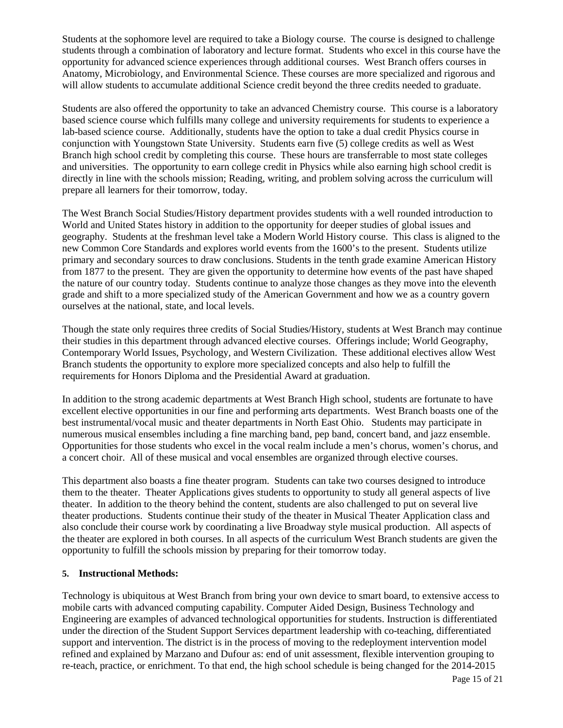Students at the sophomore level are required to take a Biology course. The course is designed to challenge students through a combination of laboratory and lecture format. Students who excel in this course have the opportunity for advanced science experiences through additional courses. West Branch offers courses in Anatomy, Microbiology, and Environmental Science. These courses are more specialized and rigorous and will allow students to accumulate additional Science credit beyond the three credits needed to graduate.

Students are also offered the opportunity to take an advanced Chemistry course. This course is a laboratory based science course which fulfills many college and university requirements for students to experience a lab-based science course. Additionally, students have the option to take a dual credit Physics course in conjunction with Youngstown State University. Students earn five (5) college credits as well as West Branch high school credit by completing this course. These hours are transferrable to most state colleges and universities. The opportunity to earn college credit in Physics while also earning high school credit is directly in line with the schools mission; Reading, writing, and problem solving across the curriculum will prepare all learners for their tomorrow, today.

The West Branch Social Studies/History department provides students with a well rounded introduction to World and United States history in addition to the opportunity for deeper studies of global issues and geography. Students at the freshman level take a Modern World History course. This class is aligned to the new Common Core Standards and explores world events from the 1600's to the present. Students utilize primary and secondary sources to draw conclusions. Students in the tenth grade examine American History from 1877 to the present. They are given the opportunity to determine how events of the past have shaped the nature of our country today. Students continue to analyze those changes as they move into the eleventh grade and shift to a more specialized study of the American Government and how we as a country govern ourselves at the national, state, and local levels.

Though the state only requires three credits of Social Studies/History, students at West Branch may continue their studies in this department through advanced elective courses. Offerings include; World Geography, Contemporary World Issues, Psychology, and Western Civilization. These additional electives allow West Branch students the opportunity to explore more specialized concepts and also help to fulfill the requirements for Honors Diploma and the Presidential Award at graduation.

In addition to the strong academic departments at West Branch High school, students are fortunate to have excellent elective opportunities in our fine and performing arts departments. West Branch boasts one of the best instrumental/vocal music and theater departments in North East Ohio. Students may participate in numerous musical ensembles including a fine marching band, pep band, concert band, and jazz ensemble. Opportunities for those students who excel in the vocal realm include a men's chorus, women's chorus, and a concert choir. All of these musical and vocal ensembles are organized through elective courses.

This department also boasts a fine theater program. Students can take two courses designed to introduce them to the theater. Theater Applications gives students to opportunity to study all general aspects of live theater. In addition to the theory behind the content, students are also challenged to put on several live theater productions. Students continue their study of the theater in Musical Theater Application class and also conclude their course work by coordinating a live Broadway style musical production. All aspects of the theater are explored in both courses. In all aspects of the curriculum West Branch students are given the opportunity to fulfill the schools mission by preparing for their tomorrow today.

#### **5. Instructional Methods:**

Technology is ubiquitous at West Branch from bring your own device to smart board, to extensive access to mobile carts with advanced computing capability. Computer Aided Design, Business Technology and Engineering are examples of advanced technological opportunities for students. Instruction is differentiated under the direction of the Student Support Services department leadership with co-teaching, differentiated support and intervention. The district is in the process of moving to the redeployment intervention model refined and explained by Marzano and Dufour as: end of unit assessment, flexible intervention grouping to re-teach, practice, or enrichment. To that end, the high school schedule is being changed for the 2014-2015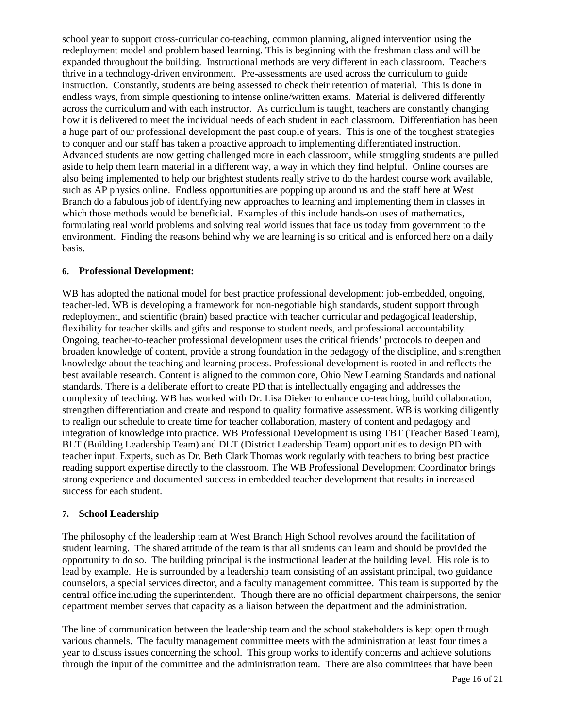school year to support cross-curricular co-teaching, common planning, aligned intervention using the redeployment model and problem based learning. This is beginning with the freshman class and will be expanded throughout the building. Instructional methods are very different in each classroom. Teachers thrive in a technology-driven environment. Pre-assessments are used across the curriculum to guide instruction. Constantly, students are being assessed to check their retention of material. This is done in endless ways, from simple questioning to intense online/written exams. Material is delivered differently across the curriculum and with each instructor. As curriculum is taught, teachers are constantly changing how it is delivered to meet the individual needs of each student in each classroom. Differentiation has been a huge part of our professional development the past couple of years. This is one of the toughest strategies to conquer and our staff has taken a proactive approach to implementing differentiated instruction. Advanced students are now getting challenged more in each classroom, while struggling students are pulled aside to help them learn material in a different way, a way in which they find helpful. Online courses are also being implemented to help our brightest students really strive to do the hardest course work available, such as AP physics online. Endless opportunities are popping up around us and the staff here at West Branch do a fabulous job of identifying new approaches to learning and implementing them in classes in which those methods would be beneficial. Examples of this include hands-on uses of mathematics, formulating real world problems and solving real world issues that face us today from government to the environment. Finding the reasons behind why we are learning is so critical and is enforced here on a daily basis.

#### **6. Professional Development:**

WB has adopted the national model for best practice professional development: job-embedded, ongoing, teacher-led. WB is developing a framework for non-negotiable high standards, student support through redeployment, and scientific (brain) based practice with teacher curricular and pedagogical leadership, flexibility for teacher skills and gifts and response to student needs, and professional accountability. Ongoing, teacher-to-teacher professional development uses the critical friends' protocols to deepen and broaden knowledge of content, provide a strong foundation in the pedagogy of the discipline, and strengthen knowledge about the teaching and learning process. Professional development is rooted in and reflects the best available research. Content is aligned to the common core, Ohio New Learning Standards and national standards. There is a deliberate effort to create PD that is intellectually engaging and addresses the complexity of teaching. WB has worked with Dr. Lisa Dieker to enhance co-teaching, build collaboration, strengthen differentiation and create and respond to quality formative assessment. WB is working diligently to realign our schedule to create time for teacher collaboration, mastery of content and pedagogy and integration of knowledge into practice. WB Professional Development is using TBT (Teacher Based Team), BLT (Building Leadership Team) and DLT (District Leadership Team) opportunities to design PD with teacher input. Experts, such as Dr. Beth Clark Thomas work regularly with teachers to bring best practice reading support expertise directly to the classroom. The WB Professional Development Coordinator brings strong experience and documented success in embedded teacher development that results in increased success for each student.

#### **7. School Leadership**

The philosophy of the leadership team at West Branch High School revolves around the facilitation of student learning. The shared attitude of the team is that all students can learn and should be provided the opportunity to do so. The building principal is the instructional leader at the building level. His role is to lead by example. He is surrounded by a leadership team consisting of an assistant principal, two guidance counselors, a special services director, and a faculty management committee. This team is supported by the central office including the superintendent. Though there are no official department chairpersons, the senior department member serves that capacity as a liaison between the department and the administration.

The line of communication between the leadership team and the school stakeholders is kept open through various channels. The faculty management committee meets with the administration at least four times a year to discuss issues concerning the school. This group works to identify concerns and achieve solutions through the input of the committee and the administration team. There are also committees that have been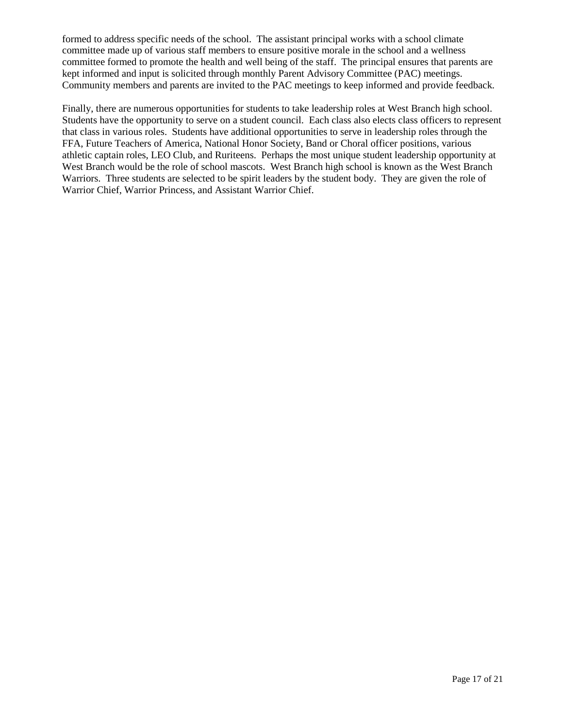formed to address specific needs of the school. The assistant principal works with a school climate committee made up of various staff members to ensure positive morale in the school and a wellness committee formed to promote the health and well being of the staff. The principal ensures that parents are kept informed and input is solicited through monthly Parent Advisory Committee (PAC) meetings. Community members and parents are invited to the PAC meetings to keep informed and provide feedback.

Finally, there are numerous opportunities for students to take leadership roles at West Branch high school. Students have the opportunity to serve on a student council. Each class also elects class officers to represent that class in various roles. Students have additional opportunities to serve in leadership roles through the FFA, Future Teachers of America, National Honor Society, Band or Choral officer positions, various athletic captain roles, LEO Club, and Ruriteens. Perhaps the most unique student leadership opportunity at West Branch would be the role of school mascots. West Branch high school is known as the West Branch Warriors. Three students are selected to be spirit leaders by the student body. They are given the role of Warrior Chief, Warrior Princess, and Assistant Warrior Chief.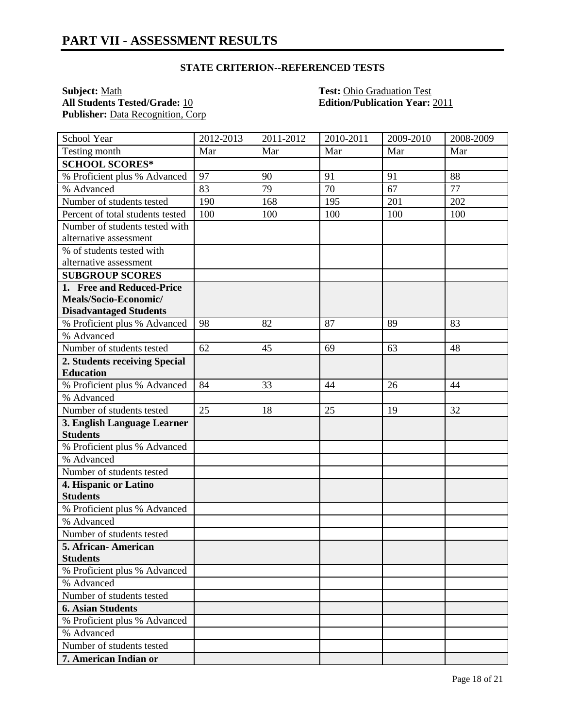#### **STATE CRITERION--REFERENCED TESTS**

**Subject:** <u>Math **Test:** Ohio Graduation Test</u><br> **All Students Tested/Grade:** 10 **Test: Edition/Publication Year:** Publisher: Data Recognition, Corp.

**All Students Tested/Grade:** 10 **Edition/Publication Year:** 2011

| School Year                                | 2012-2013 | 2011-2012 | 2010-2011 | 2009-2010 | 2008-2009 |
|--------------------------------------------|-----------|-----------|-----------|-----------|-----------|
| Testing month                              | Mar       | Mar       | Mar       | Mar       | Mar       |
| <b>SCHOOL SCORES*</b>                      |           |           |           |           |           |
| % Proficient plus % Advanced               | 97        | 90        | 91        | 91        | 88        |
| % Advanced                                 | 83        | 79        | 70        | 67        | 77        |
| Number of students tested                  | 190       | 168       | 195       | 201       | 202       |
| Percent of total students tested           | 100       | 100       | 100       | 100       | 100       |
| Number of students tested with             |           |           |           |           |           |
| alternative assessment                     |           |           |           |           |           |
| % of students tested with                  |           |           |           |           |           |
| alternative assessment                     |           |           |           |           |           |
| <b>SUBGROUP SCORES</b>                     |           |           |           |           |           |
| 1. Free and Reduced-Price                  |           |           |           |           |           |
| Meals/Socio-Economic/                      |           |           |           |           |           |
| <b>Disadvantaged Students</b>              |           |           |           |           |           |
| % Proficient plus % Advanced               | 98        | 82        | 87        | 89        | 83        |
| % Advanced                                 |           |           |           |           |           |
| Number of students tested                  | 62        | 45        | 69        | 63        | 48        |
| 2. Students receiving Special              |           |           |           |           |           |
| <b>Education</b>                           |           |           |           |           |           |
| % Proficient plus % Advanced               | 84        | 33        | 44        | 26        | 44        |
| % Advanced                                 |           |           |           |           |           |
| Number of students tested                  | 25        | 18        | 25        | 19        | 32        |
| 3. English Language Learner                |           |           |           |           |           |
| <b>Students</b>                            |           |           |           |           |           |
| % Proficient plus % Advanced               |           |           |           |           |           |
| % Advanced                                 |           |           |           |           |           |
| Number of students tested                  |           |           |           |           |           |
| 4. Hispanic or Latino                      |           |           |           |           |           |
| <b>Students</b>                            |           |           |           |           |           |
| % Proficient plus % Advanced               |           |           |           |           |           |
| % Advanced                                 |           |           |           |           |           |
| Number of students tested                  |           |           |           |           |           |
| 5. African-American                        |           |           |           |           |           |
| <b>Students</b>                            |           |           |           |           |           |
| % Proficient plus % Advanced<br>% Advanced |           |           |           |           |           |
| Number of students tested                  |           |           |           |           |           |
|                                            |           |           |           |           |           |
| <b>6. Asian Students</b>                   |           |           |           |           |           |
| % Proficient plus % Advanced               |           |           |           |           |           |
| % Advanced                                 |           |           |           |           |           |
| Number of students tested                  |           |           |           |           |           |
| 7. American Indian or                      |           |           |           |           |           |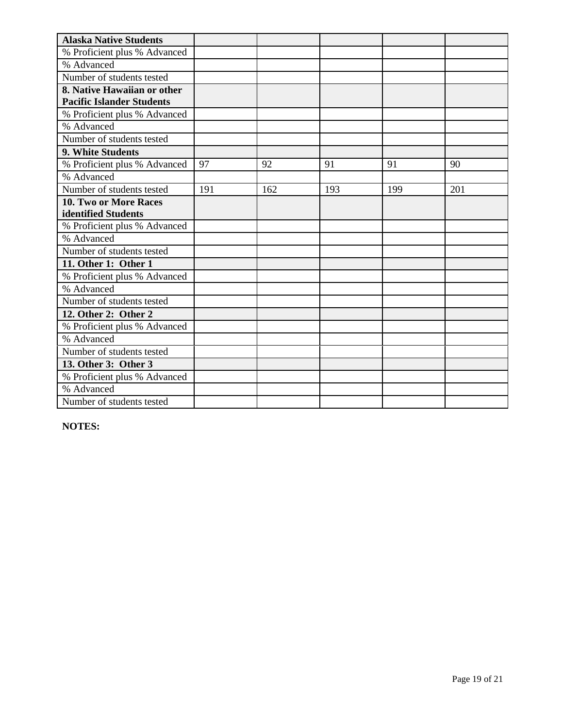| <b>Alaska Native Students</b>    |     |     |     |     |     |
|----------------------------------|-----|-----|-----|-----|-----|
| % Proficient plus % Advanced     |     |     |     |     |     |
| % Advanced                       |     |     |     |     |     |
| Number of students tested        |     |     |     |     |     |
| 8. Native Hawaiian or other      |     |     |     |     |     |
| <b>Pacific Islander Students</b> |     |     |     |     |     |
| % Proficient plus % Advanced     |     |     |     |     |     |
| % Advanced                       |     |     |     |     |     |
| Number of students tested        |     |     |     |     |     |
| 9. White Students                |     |     |     |     |     |
| % Proficient plus % Advanced     | 97  | 92  | 91  | 91  | 90  |
| % Advanced                       |     |     |     |     |     |
| Number of students tested        | 191 | 162 | 193 | 199 | 201 |
| 10. Two or More Races            |     |     |     |     |     |
| identified Students              |     |     |     |     |     |
| % Proficient plus % Advanced     |     |     |     |     |     |
| % Advanced                       |     |     |     |     |     |
| Number of students tested        |     |     |     |     |     |
| 11. Other 1: Other 1             |     |     |     |     |     |
| % Proficient plus % Advanced     |     |     |     |     |     |
| % Advanced                       |     |     |     |     |     |
| Number of students tested        |     |     |     |     |     |
| 12. Other 2: Other 2             |     |     |     |     |     |
| % Proficient plus % Advanced     |     |     |     |     |     |
| % Advanced                       |     |     |     |     |     |
| Number of students tested        |     |     |     |     |     |
| 13. Other 3: Other 3             |     |     |     |     |     |
| % Proficient plus % Advanced     |     |     |     |     |     |
| % Advanced                       |     |     |     |     |     |
| Number of students tested        |     |     |     |     |     |

**NOTES:**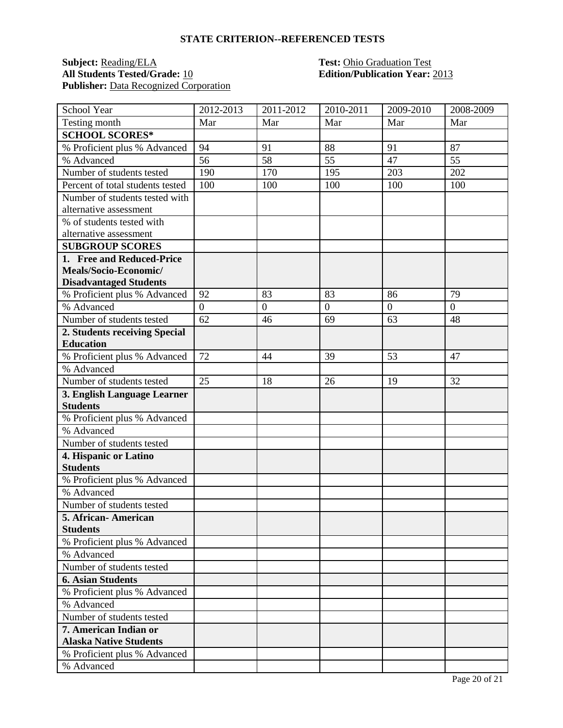#### **STATE CRITERION--REFERENCED TESTS**

#### **Subject:** Reading/ELA **Test:** Ohio Graduation Test **All Students Tested/Grade:** 10 **Edition/Publication Year:** 2013 Publisher: Data Recognized Corporation

| School Year                      | 2012-2013      | 2011-2012      | 2010-2011      | 2009-2010      | 2008-2009 |
|----------------------------------|----------------|----------------|----------------|----------------|-----------|
| Testing month                    | Mar            | Mar            | Mar            | Mar            | Mar       |
| <b>SCHOOL SCORES*</b>            |                |                |                |                |           |
| % Proficient plus % Advanced     | 94             | 91             | 88             | 91             | 87        |
| % Advanced                       | 56             | 58             | 55             | 47             | 55        |
| Number of students tested        | 190            | 170            | 195            | 203            | 202       |
| Percent of total students tested | 100            | 100            | 100            | 100            | 100       |
| Number of students tested with   |                |                |                |                |           |
| alternative assessment           |                |                |                |                |           |
| % of students tested with        |                |                |                |                |           |
| alternative assessment           |                |                |                |                |           |
| <b>SUBGROUP SCORES</b>           |                |                |                |                |           |
| 1. Free and Reduced-Price        |                |                |                |                |           |
| Meals/Socio-Economic/            |                |                |                |                |           |
| <b>Disadvantaged Students</b>    |                |                |                |                |           |
| % Proficient plus % Advanced     | 92             | 83             | 83             | 86             | 79        |
| % Advanced                       | $\overline{0}$ | $\overline{0}$ | $\overline{0}$ | $\overline{0}$ | $\Omega$  |
| Number of students tested        | 62             | 46             | 69             | 63             | 48        |
| 2. Students receiving Special    |                |                |                |                |           |
| <b>Education</b>                 |                |                |                |                |           |
| % Proficient plus % Advanced     | 72             | 44             | 39             | 53             | 47        |
| % Advanced                       |                |                |                |                |           |
| Number of students tested        | 25             | 18             | 26             | 19             | 32        |
| 3. English Language Learner      |                |                |                |                |           |
| <b>Students</b>                  |                |                |                |                |           |
| % Proficient plus % Advanced     |                |                |                |                |           |
| % Advanced                       |                |                |                |                |           |
| Number of students tested        |                |                |                |                |           |
| 4. Hispanic or Latino            |                |                |                |                |           |
| <b>Students</b>                  |                |                |                |                |           |
| % Proficient plus % Advanced     |                |                |                |                |           |
| % Advanced                       |                |                |                |                |           |
| Number of students tested        |                |                |                |                |           |
| 5. African- American             |                |                |                |                |           |
| <b>Students</b>                  |                |                |                |                |           |
| % Proficient plus % Advanced     |                |                |                |                |           |
| % Advanced                       |                |                |                |                |           |
| Number of students tested        |                |                |                |                |           |
| <b>6. Asian Students</b>         |                |                |                |                |           |
| % Proficient plus % Advanced     |                |                |                |                |           |
| % Advanced                       |                |                |                |                |           |
| Number of students tested        |                |                |                |                |           |
| 7. American Indian or            |                |                |                |                |           |
| <b>Alaska Native Students</b>    |                |                |                |                |           |
| % Proficient plus % Advanced     |                |                |                |                |           |
| % Advanced                       |                |                |                |                |           |